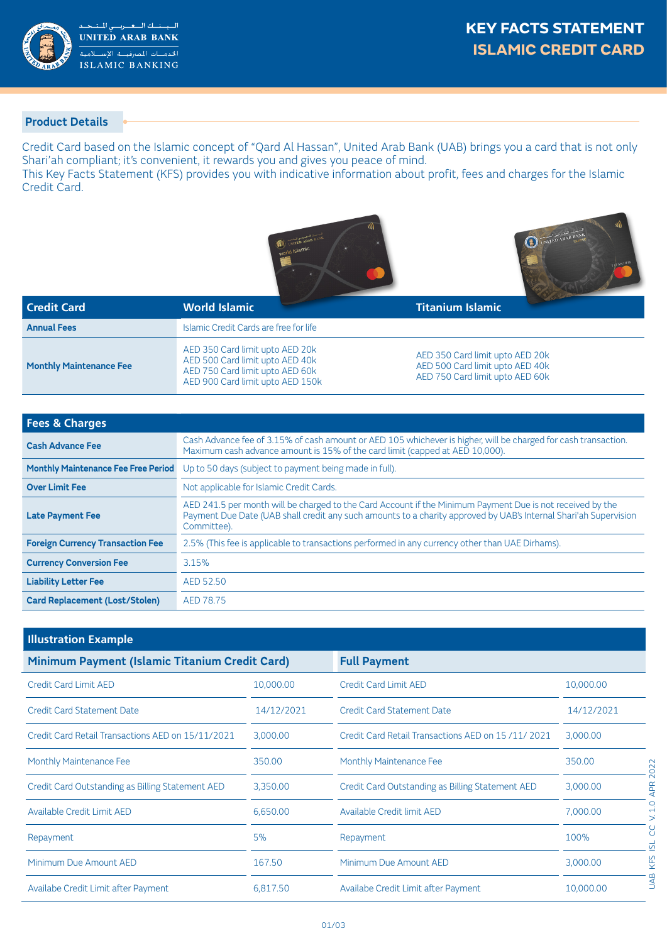

## **Product Details**

Credit Card based on the Islamic concept of "Qard Al Hassan", United Arab Bank (UAB) brings you a card that is not only Shari'ah compliant; it's convenient, it rewards you and gives you peace of mind.

This Key Facts Statement (KFS) provides you with indicative information about profit, fees and charges for the Islamic Credit Card.





| <b>Credit Card</b>             | <b>World Islamic</b>                                                                                                                      | <b>Contract of the Contract of the Contract of the Contract of the Contract of the Contract of the Contract of the Contract of the Contract of the Contract of The Contract of The Contract of The Contract of The Contract of T</b><br><b>Titanium Islamic</b> |
|--------------------------------|-------------------------------------------------------------------------------------------------------------------------------------------|-----------------------------------------------------------------------------------------------------------------------------------------------------------------------------------------------------------------------------------------------------------------|
| <b>Annual Fees</b>             | Islamic Credit Cards are free for life                                                                                                    |                                                                                                                                                                                                                                                                 |
| <b>Monthly Maintenance Fee</b> | AED 350 Card limit upto AED 20k<br>AED 500 Card limit upto AED 40k<br>AED 750 Card limit upto AED 60k<br>AED 900 Card limit upto AED 150k | AED 350 Card limit upto AED 20k<br>AED 500 Card limit upto AED 40k<br>AED 750 Card limit upto AED 60k                                                                                                                                                           |

| <b>Fees &amp; Charges</b>                  |                                                                                                                                                                                                                                              |  |
|--------------------------------------------|----------------------------------------------------------------------------------------------------------------------------------------------------------------------------------------------------------------------------------------------|--|
| <b>Cash Advance Fee</b>                    | Cash Advance fee of 3.15% of cash amount or AED 105 whichever is higher, will be charged for cash transaction.<br>Maximum cash advance amount is 15% of the card limit (capped at AED 10,000).                                               |  |
| <b>Monthly Maintenance Fee Free Period</b> | Up to 50 days (subject to payment being made in full).                                                                                                                                                                                       |  |
| <b>Over Limit Fee</b>                      | Not applicable for Islamic Credit Cards.                                                                                                                                                                                                     |  |
| <b>Late Payment Fee</b>                    | AED 241.5 per month will be charged to the Card Account if the Minimum Payment Due is not received by the<br>Payment Due Date (UAB shall credit any such amounts to a charity approved by UAB's Internal Shari'ah Supervision<br>Committee). |  |
| <b>Foreign Currency Transaction Fee</b>    | 2.5% (This fee is applicable to transactions performed in any currency other than UAE Dirhams).                                                                                                                                              |  |
| <b>Currency Conversion Fee</b>             | 3.15%                                                                                                                                                                                                                                        |  |
| <b>Liability Letter Fee</b>                | AED 52.50                                                                                                                                                                                                                                    |  |
| <b>Card Replacement (Lost/Stolen)</b>      | AED 78.75                                                                                                                                                                                                                                    |  |

| <b>Illustration Example</b>                       |            |                                                   |            |                      |  |
|---------------------------------------------------|------------|---------------------------------------------------|------------|----------------------|--|
| Minimum Payment (Islamic Titanium Credit Card)    |            | <b>Full Payment</b>                               |            |                      |  |
| <b>Credit Card Limit AED</b>                      | 10,000.00  | <b>Credit Card Limit AED</b>                      | 10,000.00  |                      |  |
| <b>Credit Card Statement Date</b>                 | 14/12/2021 | <b>Credit Card Statement Date</b>                 | 14/12/2021 |                      |  |
| Credit Card Retail Transactions AED on 15/11/2021 | 3,000.00   | Credit Card Retail Transactions AED on 15/11/2021 | 3.000.00   |                      |  |
| Monthly Maintenance Fee                           | 350.00     | Monthly Maintenance Fee                           | 350.00     | 022                  |  |
| Credit Card Outstanding as Billing Statement AED  | 3,350.00   | Credit Card Outstanding as Billing Statement AED  | 3,000.00   | $\sim$<br><b>APR</b> |  |
| Available Credit Limit AED                        | 6,650.00   | Available Credit limit AED                        | 7,000.00   | $\circ$              |  |
| Repayment                                         | 5%         | Repayment                                         | 100%       | g<br>ದ               |  |
| Minimum Due Amount AED                            | 167.50     | Minimum Due Amount AED                            | 3,000.00   | KFS                  |  |
| Availabe Credit Limit after Payment               | 6,817.50   | Availabe Credit Limit after Payment               | 10,000.00  | S                    |  |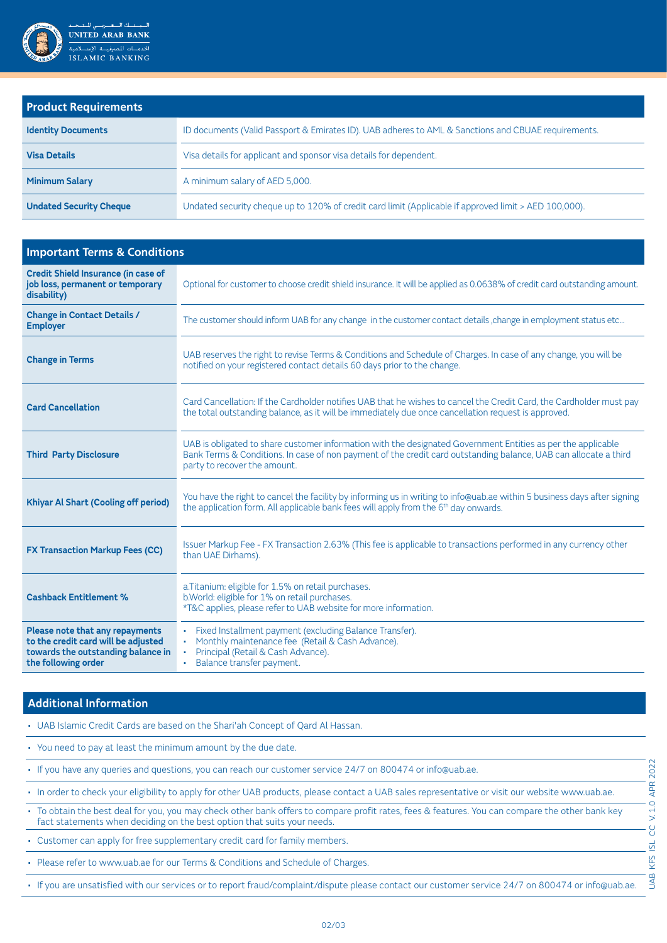

| <b>Product Requirements</b>    |                                                                                                       |  |
|--------------------------------|-------------------------------------------------------------------------------------------------------|--|
| <b>Identity Documents</b>      | ID documents (Valid Passport & Emirates ID). UAB adheres to AML & Sanctions and CBUAE requirements.   |  |
| <b>Visa Details</b>            | Visa details for applicant and sponsor visa details for dependent.                                    |  |
| <b>Minimum Salary</b>          | A minimum salary of AED 5,000.                                                                        |  |
| <b>Undated Security Cheque</b> | Undated security cheque up to 120% of credit card limit (Applicable if approved limit > AED 100,000). |  |

| <b>Important Terms &amp; Conditions</b>                                                                                             |                                                                                                                                                                                                                                                                  |  |
|-------------------------------------------------------------------------------------------------------------------------------------|------------------------------------------------------------------------------------------------------------------------------------------------------------------------------------------------------------------------------------------------------------------|--|
| <b>Credit Shield Insurance (in case of</b><br>job loss, permanent or temporary<br>disability)                                       | Optional for customer to choose credit shield insurance. It will be applied as 0.0638% of credit card outstanding amount.                                                                                                                                        |  |
| <b>Change in Contact Details /</b><br><b>Employer</b>                                                                               | The customer should inform UAB for any change in the customer contact details, change in employment status etc                                                                                                                                                   |  |
| <b>Change in Terms</b>                                                                                                              | UAB reserves the right to revise Terms & Conditions and Schedule of Charges. In case of any change, you will be<br>notified on your registered contact details 60 days prior to the change.                                                                      |  |
| <b>Card Cancellation</b>                                                                                                            | Card Cancellation: If the Cardholder notifies UAB that he wishes to cancel the Credit Card, the Cardholder must pay<br>the total outstanding balance, as it will be immediately due once cancellation request is approved.                                       |  |
| <b>Third Party Disclosure</b>                                                                                                       | UAB is obligated to share customer information with the designated Government Entities as per the applicable<br>Bank Terms & Conditions. In case of non payment of the credit card outstanding balance, UAB can allocate a third<br>party to recover the amount. |  |
| <b>Khiyar Al Shart (Cooling off period)</b>                                                                                         | You have the right to cancel the facility by informing us in writing to info@uab.ae within 5 business days after signing<br>the application form. All applicable bank fees will apply from the 6 <sup>th</sup> day onwards.                                      |  |
| <b>FX Transaction Markup Fees (CC)</b>                                                                                              | Issuer Markup Fee - FX Transaction 2.63% (This fee is applicable to transactions performed in any currency other<br>than UAE Dirhams).                                                                                                                           |  |
| <b>Cashback Entitlement %</b>                                                                                                       | a. Titanium: eligible for 1.5% on retail purchases.<br>b. World: eligible for 1% on retail purchases.<br>*T&C applies, please refer to UAB website for more information.                                                                                         |  |
| Please note that any repayments<br>to the credit card will be adjusted<br>towards the outstanding balance in<br>the following order | Fixed Installment payment (excluding Balance Transfer).<br>٠.<br>Monthly maintenance fee (Retail & Cash Advance).<br>Principal (Retail & Cash Advance).<br>Balance transfer payment.                                                                             |  |

## **Additional Information**

- . UAB Islamic Credit Cards are based on the Shari'ah Concept of Qard Al Hassan.
- . You need to pay at least the minimum amount by the due date.
- . If you have any queries and questions, you can reach our customer service 24/7 on 800474 or info@uab.ae.
- . In order to check your eligibility to apply for other UAB products, please contact a UAB sales representative or visit our website www.uab.ae.
- To obtain the best deal for you, you may check other bank offers to compare profit rates, fees & features. You can compare the other bank key fact statements when deciding on the best option that suits your needs.
- Customer can apply for free supplementary credit card for family members.
- . Please refer to www.uab.ae for our Terms & Conditions and Schedule of Charges.
- . If you are unsatisfied with our services or to report fraud/complaint/dispute please contact our customer service 24/7 on 800474 or info@uab.ae.